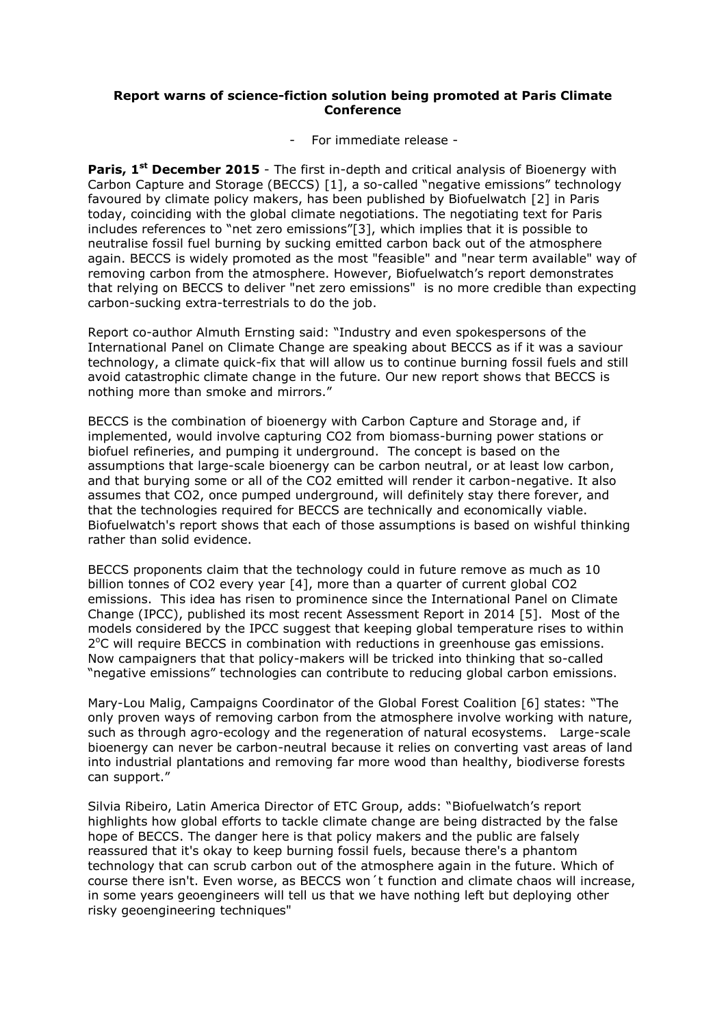## **Report warns of science-fiction solution being promoted at Paris Climate Conference**

- For immediate release -

**Paris, 1<sup>st</sup> December 2015** - The first in-depth and critical analysis of Bioenergy with Carbon Capture and Storage (BECCS) [1], a so-called "negative emissions" technology favoured by climate policy makers, has been published by Biofuelwatch [2] in Paris today, coinciding with the global climate negotiations. The negotiating text for Paris includes references to "net zero emissions"[3], which implies that it is possible to neutralise fossil fuel burning by sucking emitted carbon back out of the atmosphere again. BECCS is widely promoted as the most "feasible" and "near term available" way of removing carbon from the atmosphere. However, Biofuelwatch's report demonstrates that relying on BECCS to deliver "net zero emissions" is no more credible than expecting carbon-sucking extra-terrestrials to do the job.

Report co-author Almuth Ernsting said: "Industry and even spokespersons of the International Panel on Climate Change are speaking about BECCS as if it was a saviour technology, a climate quick-fix that will allow us to continue burning fossil fuels and still avoid catastrophic climate change in the future. Our new report shows that BECCS is nothing more than smoke and mirrors."

BECCS is the combination of bioenergy with Carbon Capture and Storage and, if implemented, would involve capturing CO2 from biomass-burning power stations or biofuel refineries, and pumping it underground. The concept is based on the assumptions that large-scale bioenergy can be carbon neutral, or at least low carbon, and that burying some or all of the CO2 emitted will render it carbon-negative. It also assumes that CO2, once pumped underground, will definitely stay there forever, and that the technologies required for BECCS are technically and economically viable. Biofuelwatch's report shows that each of those assumptions is based on wishful thinking rather than solid evidence.

BECCS proponents claim that the technology could in future remove as much as 10 billion tonnes of CO2 every year [4], more than a quarter of current global CO2 emissions. This idea has risen to prominence since the International Panel on Climate Change (IPCC), published its most recent Assessment Report in 2014 [5]. Most of the models considered by the IPCC suggest that keeping global temperature rises to within 2°C will require BECCS in combination with reductions in greenhouse gas emissions. Now campaigners that that policy-makers will be tricked into thinking that so-called "negative emissions" technologies can contribute to reducing global carbon emissions.

Mary-Lou Malig, Campaigns Coordinator of the Global Forest Coalition [6] states: "The only proven ways of removing carbon from the atmosphere involve working with nature, such as through agro-ecology and the regeneration of natural ecosystems. Large-scale bioenergy can never be carbon-neutral because it relies on converting vast areas of land into industrial plantations and removing far more wood than healthy, biodiverse forests can support."

Silvia Ribeiro, Latin America Director of ETC Group, adds: "Biofuelwatch's report highlights how global efforts to tackle climate change are being distracted by the false hope of BECCS. The danger here is that policy makers and the public are falsely reassured that it's okay to keep burning fossil fuels, because there's a phantom technology that can scrub carbon out of the atmosphere again in the future. Which of course there isn't. Even worse, as BECCS won´t function and climate chaos will increase, in some years geoengineers will tell us that we have nothing left but deploying other risky geoengineering techniques"